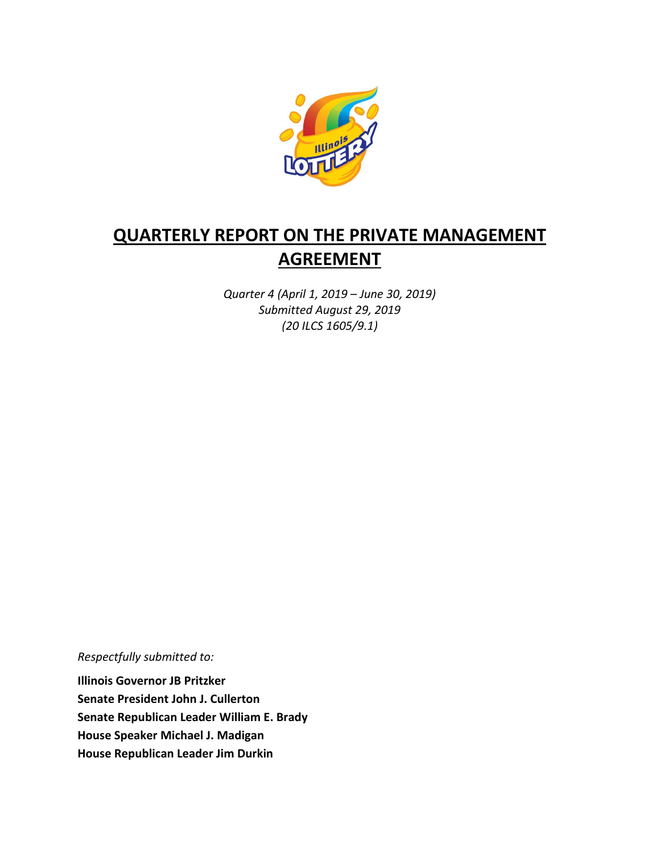

# **QUARTERLY REPORT ON THE PRIVATE MANAGEMENT AGREEMENT**

*Quarter 4 (April 1, 2019 – June 30, 2019) Submitted August 29, 2019 (20 ILCS 1605/9.1)*

*Respectfully submitted to:* 

**Illinois Governor JB Pritzker Senate President John J. Cullerton Senate Republican Leader William E. Brady House Speaker Michael J. Madigan House Republican Leader Jim Durkin**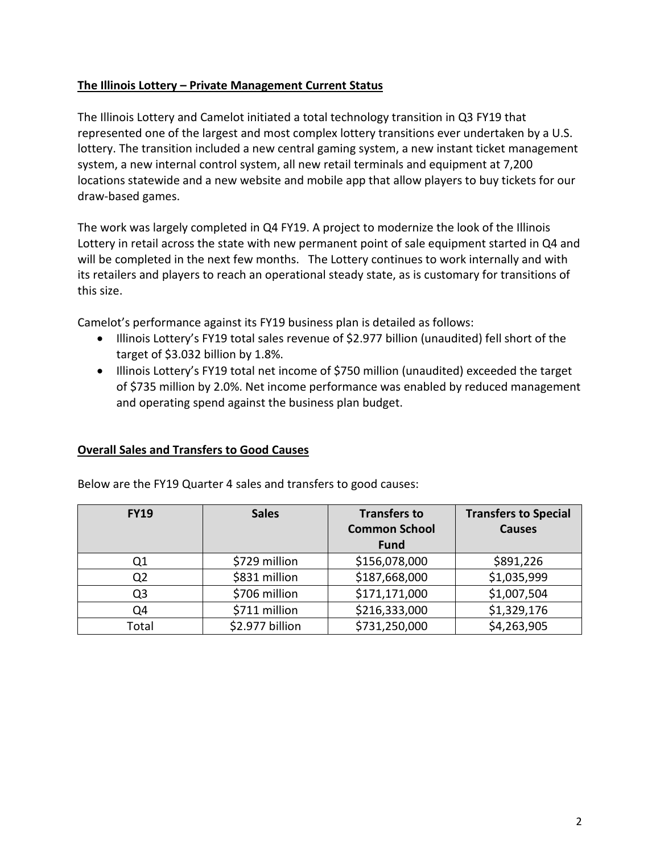## **The Illinois Lottery – Private Management Current Status**

The Illinois Lottery and Camelot initiated a total technology transition in Q3 FY19 that represented one of the largest and most complex lottery transitions ever undertaken by a U.S. lottery. The transition included a new central gaming system, a new instant ticket management system, a new internal control system, all new retail terminals and equipment at 7,200 locations statewide and a new website and mobile app that allow players to buy tickets for our draw-based games.

The work was largely completed in Q4 FY19. A project to modernize the look of the Illinois Lottery in retail across the state with new permanent point of sale equipment started in Q4 and will be completed in the next few months. The Lottery continues to work internally and with its retailers and players to reach an operational steady state, as is customary for transitions of this size.

Camelot's performance against its FY19 business plan is detailed as follows:

- Illinois Lottery's FY19 total sales revenue of \$2.977 billion (unaudited) fell short of the target of \$3.032 billion by 1.8%.
- Illinois Lottery's FY19 total net income of \$750 million (unaudited) exceeded the target of \$735 million by 2.0%. Net income performance was enabled by reduced management and operating spend against the business plan budget.

## **Overall Sales and Transfers to Good Causes**

| <b>FY19</b>    | <b>Sales</b>    | <b>Transfers to</b><br><b>Common School</b><br><b>Fund</b> | <b>Transfers to Special</b><br><b>Causes</b> |
|----------------|-----------------|------------------------------------------------------------|----------------------------------------------|
| Q1             | \$729 million   | \$156,078,000                                              | \$891,226                                    |
| Q <sub>2</sub> | \$831 million   | \$187,668,000                                              | \$1,035,999                                  |
| Q3             | \$706 million   | \$171,171,000                                              | \$1,007,504                                  |
| Q4             | \$711 million   | \$216,333,000                                              | \$1,329,176                                  |
| Total          | \$2.977 billion | \$731,250,000                                              | \$4,263,905                                  |

Below are the FY19 Quarter 4 sales and transfers to good causes: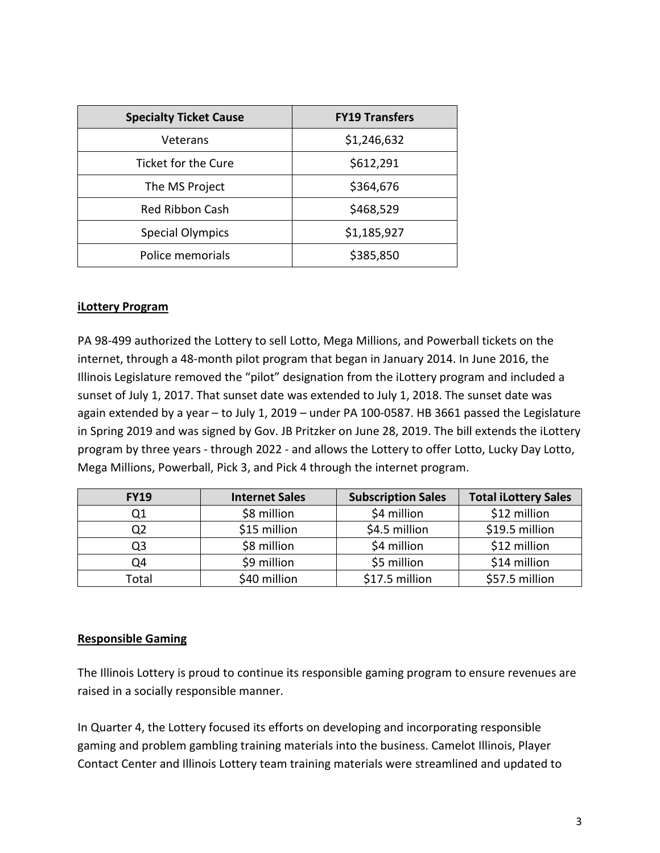| <b>Specialty Ticket Cause</b> | <b>FY19 Transfers</b> |  |
|-------------------------------|-----------------------|--|
| Veterans                      | \$1,246,632           |  |
| Ticket for the Cure           | \$612,291             |  |
| The MS Project                | \$364,676             |  |
| <b>Red Ribbon Cash</b>        | \$468,529             |  |
| <b>Special Olympics</b>       | \$1,185,927           |  |
| Police memorials              | \$385,850             |  |

#### **iLottery Program**

PA 98-499 authorized the Lottery to sell Lotto, Mega Millions, and Powerball tickets on the internet, through a 48-month pilot program that began in January 2014. In June 2016, the Illinois Legislature removed the "pilot" designation from the iLottery program and included a sunset of July 1, 2017. That sunset date was extended to July 1, 2018. The sunset date was again extended by a year – to July 1, 2019 – under PA 100-0587. HB 3661 passed the Legislature in Spring 2019 and was signed by Gov. JB Pritzker on June 28, 2019. The bill extends the iLottery program by three years - through 2022 - and allows the Lottery to offer Lotto, Lucky Day Lotto, Mega Millions, Powerball, Pick 3, and Pick 4 through the internet program.

| <b>FY19</b> | <b>Internet Sales</b> | <b>Subscription Sales</b> | <b>Total iLottery Sales</b> |
|-------------|-----------------------|---------------------------|-----------------------------|
| Q1          | \$8 million           | \$4 million               | \$12 million                |
|             | \$15 million          | \$4.5 million             | \$19.5 million              |
| Q3          | \$8 million           | \$4 million               | \$12 million                |
| Q4          | \$9 million           | \$5 million               | \$14 million                |
| Total       | \$40 million          | \$17.5 million            | \$57.5 million              |

#### **Responsible Gaming**

The Illinois Lottery is proud to continue its responsible gaming program to ensure revenues are raised in a socially responsible manner.

In Quarter 4, the Lottery focused its efforts on developing and incorporating responsible gaming and problem gambling training materials into the business. Camelot Illinois, Player Contact Center and Illinois Lottery team training materials were streamlined and updated to